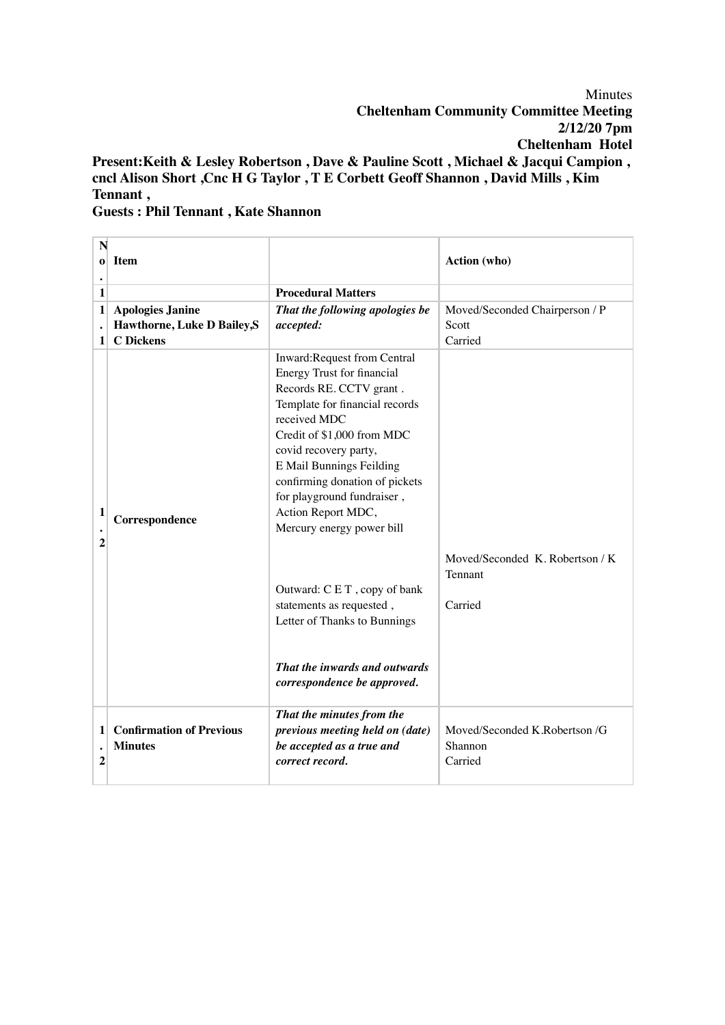Minutes **Cheltenham Community Committee Meeting 2/12/20 7pm Cheltenham Hotel Present:Keith & Lesley Robertson , Dave & Pauline Scott , Michael & Jacqui Campion , cncl Alison Short ,Cnc H G Taylor , T E Corbett Geoff Shannon , David Mills , Kim** 

## **Guests : Phil Tennant , Kate Shannon**

**Tennant ,**

| N<br>$\bf{o}$       | Item                                                                       |                                                                                                                                                                                                                                                                                                                                                                                                                                                                                                        | Action (who)                                           |
|---------------------|----------------------------------------------------------------------------|--------------------------------------------------------------------------------------------------------------------------------------------------------------------------------------------------------------------------------------------------------------------------------------------------------------------------------------------------------------------------------------------------------------------------------------------------------------------------------------------------------|--------------------------------------------------------|
| 1                   |                                                                            | <b>Procedural Matters</b>                                                                                                                                                                                                                                                                                                                                                                                                                                                                              |                                                        |
| $\mathbf{1}$<br>1   | <b>Apologies Janine</b><br>Hawthorne, Luke D Bailey, S<br><b>C</b> Dickens | That the following apologies be<br>accepted:                                                                                                                                                                                                                                                                                                                                                                                                                                                           | Moved/Seconded Chairperson / P<br>Scott<br>Carried     |
| 1<br>$\overline{2}$ | Correspondence                                                             | Inward:Request from Central<br>Energy Trust for financial<br>Records RE. CCTV grant.<br>Template for financial records<br>received MDC<br>Credit of \$1,000 from MDC<br>covid recovery party,<br>E Mail Bunnings Feilding<br>confirming donation of pickets<br>for playground fundraiser,<br>Action Report MDC,<br>Mercury energy power bill<br>Outward: CET, copy of bank<br>statements as requested,<br>Letter of Thanks to Bunnings<br>That the inwards and outwards<br>correspondence be approved. | Moved/Seconded K. Robertson / K.<br>Tennant<br>Carried |
| 1<br>2              | <b>Confirmation of Previous</b><br><b>Minutes</b>                          | That the minutes from the<br>previous meeting held on (date)<br>be accepted as a true and<br>correct record.                                                                                                                                                                                                                                                                                                                                                                                           | Moved/Seconded K.Robertson /G<br>Shannon<br>Carried    |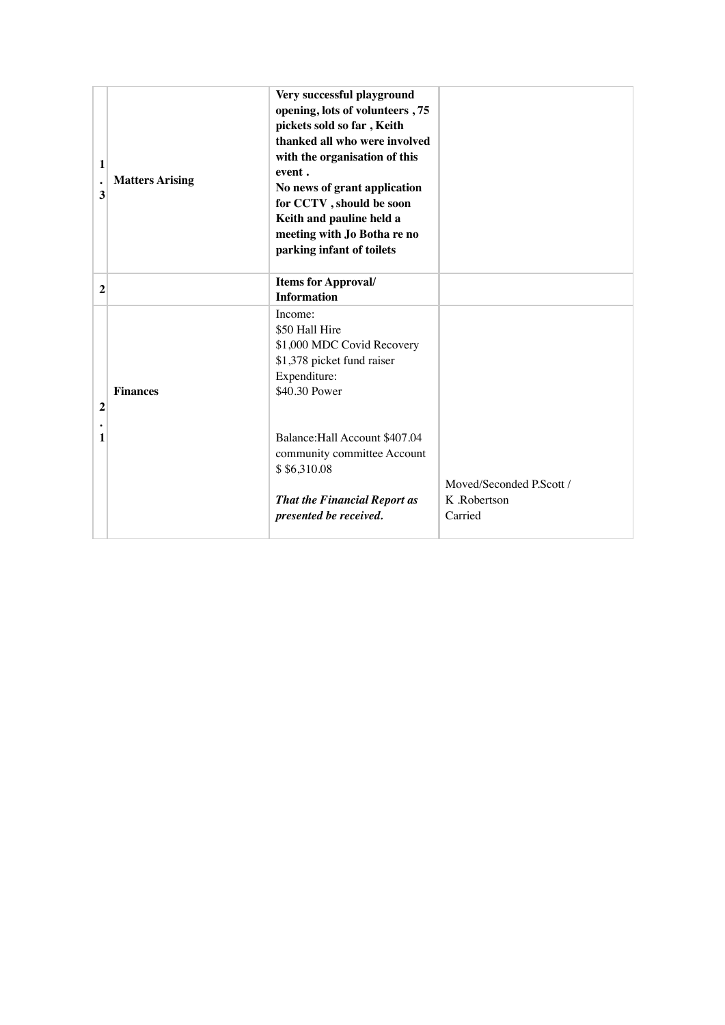| 1<br>$\bullet$<br>3 | <b>Matters Arising</b> | Very successful playground<br>opening, lots of volunteers, 75<br>pickets sold so far, Keith<br>thanked all who were involved<br>with the organisation of this<br>event.<br>No news of grant application<br>for CCTV, should be soon<br>Keith and pauline held a<br>meeting with Jo Botha re no<br>parking infant of toilets |                                                     |
|---------------------|------------------------|-----------------------------------------------------------------------------------------------------------------------------------------------------------------------------------------------------------------------------------------------------------------------------------------------------------------------------|-----------------------------------------------------|
| 2                   |                        | <b>Items for Approval/</b><br><b>Information</b>                                                                                                                                                                                                                                                                            |                                                     |
| $\overline{2}$      | <b>Finances</b>        | Income:<br>\$50 Hall Hire<br>\$1,000 MDC Covid Recovery<br>\$1,378 picket fund raiser<br>Expenditure:<br>\$40.30 Power                                                                                                                                                                                                      |                                                     |
| 1                   |                        | Balance: Hall Account \$407.04<br>community committee Account<br>\$ \$6,310.08<br><b>That the Financial Report as</b><br>presented be received.                                                                                                                                                                             | Moved/Seconded P.Scott /<br>K .Robertson<br>Carried |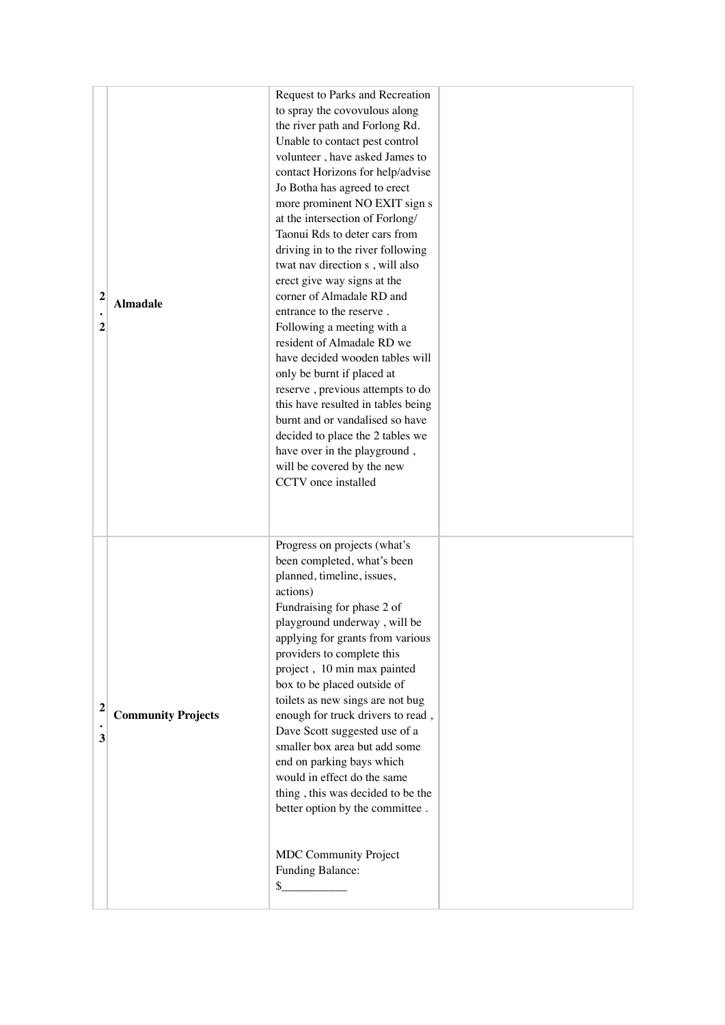|                         |                           | Request to Parks and Recreation           |  |
|-------------------------|---------------------------|-------------------------------------------|--|
|                         |                           | to spray the covovulous along             |  |
|                         |                           | the river path and Forlong Rd.            |  |
|                         |                           | Unable to contact pest control            |  |
|                         |                           | volunteer, have asked James to            |  |
|                         |                           | contact Horizons for help/advise          |  |
|                         |                           | Jo Botha has agreed to erect              |  |
|                         |                           | more prominent NO EXIT sign s             |  |
|                         |                           | at the intersection of Forlong/           |  |
|                         |                           | Taonui Rds to deter cars from             |  |
|                         |                           | driving in to the river following         |  |
|                         |                           | twat nav direction s, will also           |  |
|                         |                           | erect give way signs at the               |  |
| $\mathbf{2}$            |                           | corner of Almadale RD and                 |  |
|                         | <b>Almadale</b>           | entrance to the reserve.                  |  |
| $\overline{2}$          |                           | Following a meeting with a                |  |
|                         |                           | resident of Almadale RD we                |  |
|                         |                           | have decided wooden tables will           |  |
|                         |                           | only be burnt if placed at                |  |
|                         |                           | reserve, previous attempts to do          |  |
|                         |                           | this have resulted in tables being        |  |
|                         |                           | burnt and or vandalised so have           |  |
|                         |                           | decided to place the 2 tables we          |  |
|                         |                           | have over in the playground,              |  |
|                         |                           | will be covered by the new                |  |
|                         |                           | CCTV once installed                       |  |
|                         |                           |                                           |  |
|                         |                           |                                           |  |
|                         |                           |                                           |  |
|                         |                           | Progress on projects (what's              |  |
|                         |                           | been completed, what's been               |  |
|                         |                           | planned, timeline, issues,                |  |
|                         |                           | actions)                                  |  |
|                         | <b>Community Projects</b> | Fundraising for phase 2 of                |  |
|                         |                           | playground underway, will be              |  |
|                         |                           | applying for grants from various          |  |
|                         |                           | providers to complete this                |  |
|                         |                           | project, 10 min max painted               |  |
|                         |                           | box to be placed outside of               |  |
| $\overline{\mathbf{c}}$ |                           | toilets as new sings are not bug          |  |
| 3                       |                           | enough for truck drivers to read,         |  |
|                         |                           | Dave Scott suggested use of a             |  |
|                         |                           | smaller box area but add some             |  |
|                         |                           | end on parking bays which                 |  |
|                         |                           | would in effect do the same               |  |
|                         |                           | thing, this was decided to be the         |  |
|                         |                           | better option by the committee.           |  |
|                         |                           |                                           |  |
|                         |                           |                                           |  |
|                         |                           | MDC Community Project<br>Funding Balance: |  |
|                         |                           | $\sim$                                    |  |
|                         |                           |                                           |  |
|                         |                           |                                           |  |